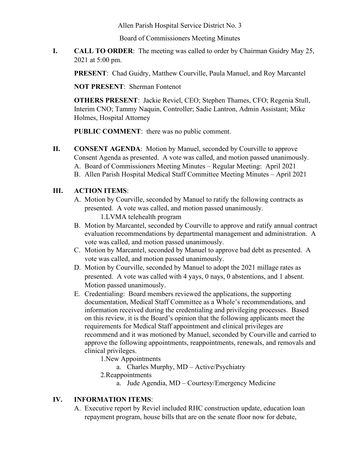Allen Parish Hospital Service District No. 3

Board of Commissioners Meeting Minutes

**I. CALL TO ORDER**: The meeting was called to order by Chairman Guidry May 25, 2021 at 5:00 pm.

**PRESENT**: Chad Guidry, Matthew Courville, Paula Manuel, and Roy Marcantel

**NOT PRESENT**: Sherman Fontenot

**OTHERS PRESENT**: Jackie Reviel, CEO; Stephen Thames, CFO; Regenia Stull, Interim CNO; Tammy Naquin, Controller; Sadie Lantron, Admin Assistant; Mike Holmes, Hospital Attorney

**PUBLIC COMMENT**: there was no public comment.

**II. CONSENT AGENDA**: Motion by Manuel, seconded by Courville to approve Consent Agenda as presented. A vote was called, and motion passed unanimously. A. Board of Commissioners Meeting Minutes – Regular Meeting: April 2021 B. Allen Parish Hospital Medical Staff Committee Meeting Minutes – April 2021

## **III. ACTION ITEMS**:

- A. Motion by Courville, seconded by Manuel to ratify the following contracts as presented. A vote was called, and motion passed unanimously. 1.LVMA telehealth program
- B. Motion by Marcantel, seconded by Courville to approve and ratify annual contract evaluation recommendations by departmental management and administration. A vote was called, and motion passed unanimously.
- C. Motion by Marcantel, seconded by Manuel to approve bad debt as presented. A vote was called, and motion passed unanimously.
- D. Motion by Courville, seconded by Manuel to adopt the 2021 millage rates as presented. A vote was called with 4 yays, 0 nays, 0 abstentions, and 1 absent. Motion passed unanimously.
- E. Credentialing: Board members reviewed the applications, the supporting documentation, Medical Staff Committee as a Whole's recommendations, and information received during the credentialing and privileging processes. Based on this review, it is the Board's opinion that the following applicants meet the requirements for Medical Staff appointment and clinical privileges are recommend and it was motioned by Manuel, seconded by Courville and carried to approve the following appointments, reappointments, renewals, and removals and clinical privileges.

1.New Appointments

a. Charles Murphy, MD – Active/Psychiatry

2.Reappointments

a. Jude Agendia, MD – Courtesy/Emergency Medicine

## **IV. INFORMATION ITEMS**:

A. Executive report by Reviel included RHC construction update, education loan repayment program, house bills that are on the senate floor now for debate,